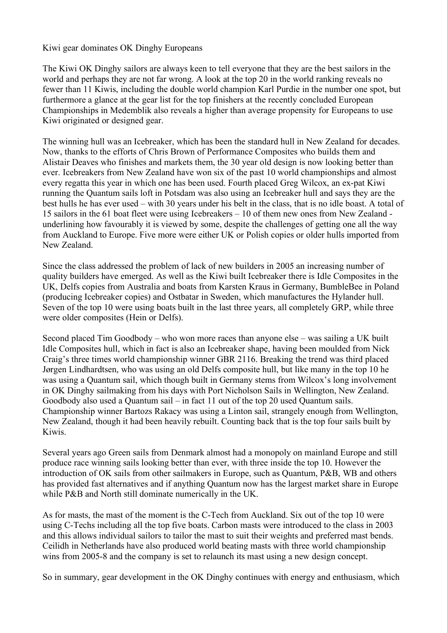Kiwi gear dominates OK Dinghy Europeans

The Kiwi OK Dinghy sailors are always keen to tell everyone that they are the best sailors in the world and perhaps they are not far wrong. A look at the top 20 in the world ranking reveals no fewer than 11 Kiwis, including the double world champion Karl Purdie in the number one spot, but furthermore a glance at the gear list for the top finishers at the recently concluded European Championships in Medemblik also reveals a higher than average propensity for Europeans to use Kiwi originated or designed gear.

The winning hull was an Icebreaker, which has been the standard hull in New Zealand for decades. Now, thanks to the efforts of Chris Brown of Performance Composites who builds them and Alistair Deaves who finishes and markets them, the 30 year old design is now looking better than ever. Icebreakers from New Zealand have won six of the past 10 world championships and almost every regatta this year in which one has been used. Fourth placed Greg Wilcox, an ex-pat Kiwi running the Quantum sails loft in Potsdam was also using an Icebreaker hull and says they are the best hulls he has ever used – with 30 years under his belt in the class, that is no idle boast. A total of 15 sailors in the 61 boat fleet were using Icebreakers – 10 of them new ones from New Zealand underlining how favourably it is viewed by some, despite the challenges of getting one all the way from Auckland to Europe. Five more were either UK or Polish copies or older hulls imported from New Zealand.

Since the class addressed the problem of lack of new builders in 2005 an increasing number of quality builders have emerged. As well as the Kiwi built Icebreaker there is Idle Composites in the UK, Delfs copies from Australia and boats from Karsten Kraus in Germany, BumbleBee in Poland (producing Icebreaker copies) and Ostbatar in Sweden, which manufactures the Hylander hull. Seven of the top 10 were using boats built in the last three years, all completely GRP, while three were older composites (Hein or Delfs).

Second placed Tim Goodbody – who won more races than anyone else – was sailing a UK built Idle Composites hull, which in fact is also an Icebreaker shape, having been moulded from Nick Craig's three times world championship winner GBR 2116. Breaking the trend was third placed Jørgen Lindhardtsen, who was using an old Delfs composite hull, but like many in the top 10 he was using a Quantum sail, which though built in Germany stems from Wilcox's long involvement in OK Dinghy sailmaking from his days with Port Nicholson Sails in Wellington, New Zealand. Goodbody also used a Quantum sail – in fact 11 out of the top 20 used Quantum sails. Championship winner Bartozs Rakacy was using a Linton sail, strangely enough from Wellington, New Zealand, though it had been heavily rebuilt. Counting back that is the top four sails built by Kiwis.

Several years ago Green sails from Denmark almost had a monopoly on mainland Europe and still produce race winning sails looking better than ever, with three inside the top 10. However the introduction of OK sails from other sailmakers in Europe, such as Quantum, P&B, WB and others has provided fast alternatives and if anything Quantum now has the largest market share in Europe while P&B and North still dominate numerically in the UK.

As for masts, the mast of the moment is the C-Tech from Auckland. Six out of the top 10 were using C-Techs including all the top five boats. Carbon masts were introduced to the class in 2003 and this allows individual sailors to tailor the mast to suit their weights and preferred mast bends. Ceilidh in Netherlands have also produced world beating masts with three world championship wins from 2005-8 and the company is set to relaunch its mast using a new design concept.

So in summary, gear development in the OK Dinghy continues with energy and enthusiasm, which